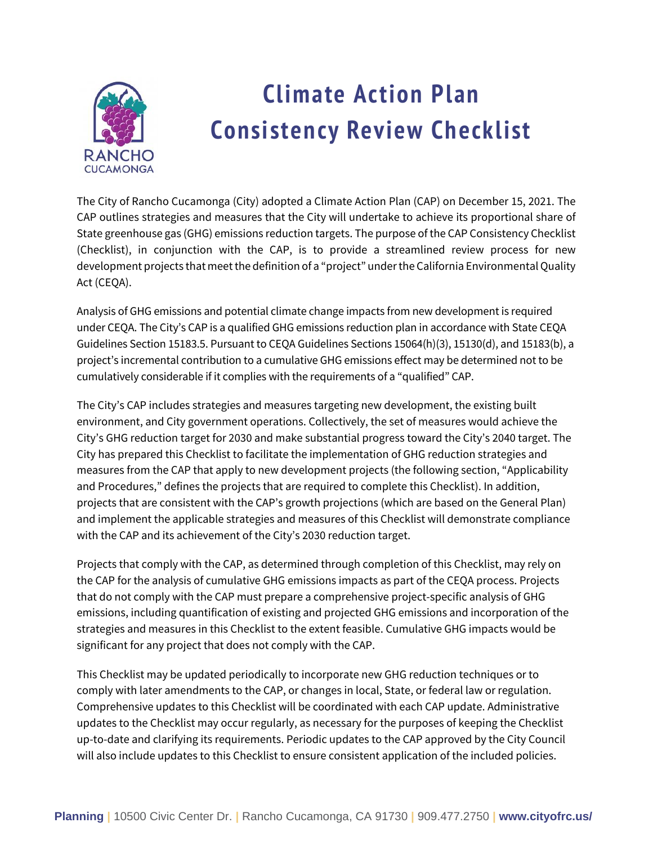

# **Climate Action Plan Consistency Review Checklist**

The City of Rancho Cucamonga (City) adopted a Climate Action Plan (CAP) on December 15, 2021. The CAP outlines strategies and measures that the City will undertake to achieve its proportional share of State greenhouse gas (GHG) emissions reduction targets. The purpose of the CAP Consistency Checklist (Checklist), in conjunction with the CAP, is to provide a streamlined review process for new development projects that meet the definition of a "project" underthe California Environmental Quality Act (CEQA).

Analysis of GHG emissions and potential climate change impacts from new development is required under CEQA. The City's CAP is a qualified GHG emissions reduction plan in accordance with State CEQA Guidelines Section 15183.5. Pursuant to CEQA Guidelines Sections 15064(h)(3), 15130(d), and 15183(b), a project's incremental contribution to a cumulative GHG emissions effect may be determined not to be cumulatively considerable if it complies with the requirements of a "qualified" CAP.

The City's CAP includes strategies and measures targeting new development, the existing built environment, and City government operations. Collectively, the set of measures would achieve the City's GHG reduction target for 2030 and make substantial progress toward the City's 2040 target. The City has prepared this Checklist to facilitate the implementation of GHG reduction strategies and measures from the CAP that apply to new development projects (the following section, "Applicability and Procedures," defines the projects that are required to complete this Checklist). In addition, projects that are consistent with the CAP's growth projections (which are based on the General Plan) and implement the applicable strategies and measures of this Checklist will demonstrate compliance with the CAP and its achievement of the City's 2030 reduction target.

Projects that comply with the CAP, as determined through completion of this Checklist, may rely on the CAP for the analysis of cumulative GHG emissions impacts as part of the CEQA process. Projects that do not comply with the CAP must prepare a comprehensive project-specific analysis of GHG emissions, including quantification of existing and projected GHG emissions and incorporation of the strategies and measures in this Checklist to the extent feasible. Cumulative GHG impacts would be significant for any project that does not comply with the CAP.

This Checklist may be updated periodically to incorporate new GHG reduction techniques or to comply with later amendments to the CAP, or changes in local, State, or federal law or regulation. Comprehensive updates to this Checklist will be coordinated with each CAP update. Administrative updates to the Checklist may occur regularly, as necessary for the purposes of keeping the Checklist up-to-date and clarifying its requirements. Periodic updates to the CAP approved by the City Council will also include updates to this Checklist to ensure consistent application of the included policies.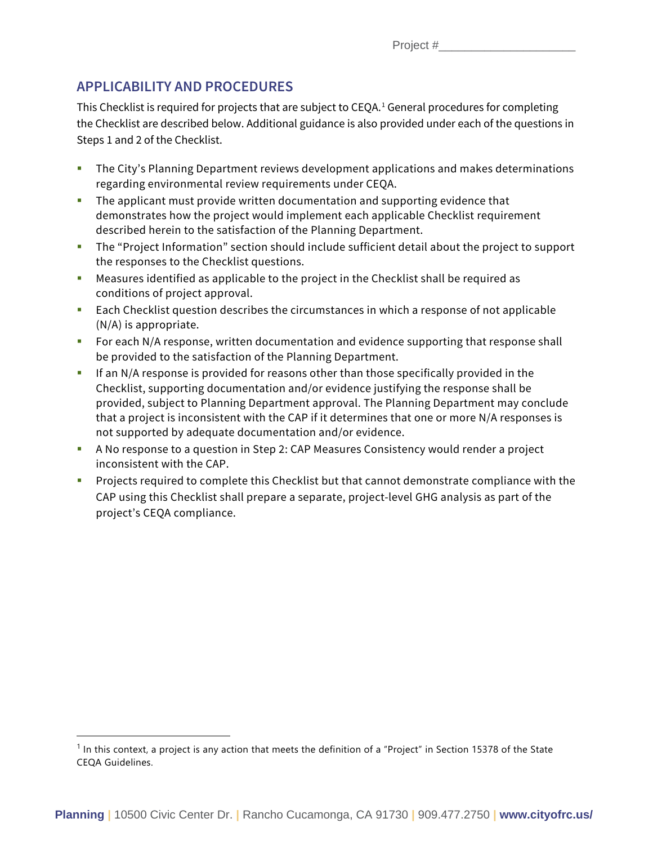### **APPLICABILITY AND PROCEDURES**

This Checklist is required for projects that are subject to CEQA.[1](#page-1-0) General procedures for completing the Checklist are described below. Additional guidance is also provided under each of the questions in Steps 1 and 2 of the Checklist.

- **The City's Planning Department reviews development applications and makes determinations** regarding environmental review requirements under CEQA.
- **The applicant must provide written documentation and supporting evidence that** demonstrates how the project would implement each applicable Checklist requirement described herein to the satisfaction of the Planning Department.
- The "Project Information" section should include sufficient detail about the project to support the responses to the Checklist questions.
- Measures identified as applicable to the project in the Checklist shall be required as conditions of project approval.
- **Each Checklist question describes the circumstances in which a response of not applicable** (N/A) is appropriate.
- **F** For each N/A response, written documentation and evidence supporting that response shall be provided to the satisfaction of the Planning Department.
- If an N/A response is provided for reasons other than those specifically provided in the Checklist, supporting documentation and/or evidence justifying the response shall be provided, subject to Planning Department approval. The Planning Department may conclude that a project is inconsistent with the CAP if it determines that one or more N/A responses is not supported by adequate documentation and/or evidence.
- A No response to a question in Step 2: CAP Measures Consistency would render a project inconsistent with the CAP.
- **Projects required to complete this Checklist but that cannot demonstrate compliance with the** CAP using this Checklist shall prepare a separate, project-level GHG analysis as part of the project's CEQA compliance.

<span id="page-1-0"></span> $1$  In this context, a project is any action that meets the definition of a "Project" in Section 15378 of the State CEQA Guidelines.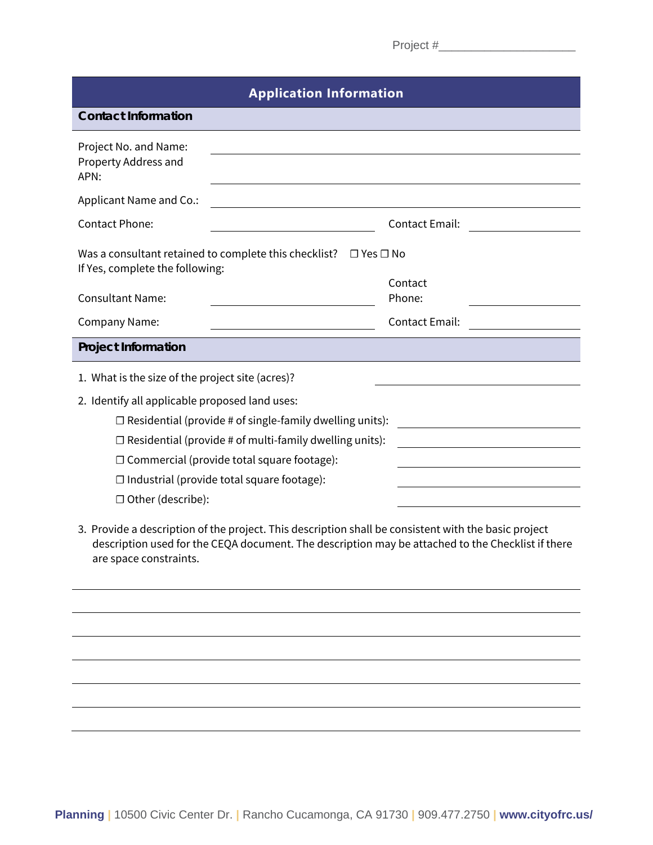| <b>Application Information</b>                                                                                |                                                                                                                        |  |  |  |  |  |
|---------------------------------------------------------------------------------------------------------------|------------------------------------------------------------------------------------------------------------------------|--|--|--|--|--|
| <b>Contact Information</b>                                                                                    |                                                                                                                        |  |  |  |  |  |
| Project No. and Name:<br>Property Address and<br>APN:                                                         |                                                                                                                        |  |  |  |  |  |
| Applicant Name and Co.:                                                                                       |                                                                                                                        |  |  |  |  |  |
| <b>Contact Phone:</b>                                                                                         | <b>Contact Email:</b>                                                                                                  |  |  |  |  |  |
| Was a consultant retained to complete this checklist? $\Box$ Yes $\Box$ No<br>If Yes, complete the following: |                                                                                                                        |  |  |  |  |  |
| <b>Consultant Name:</b>                                                                                       | Contact<br>Phone:                                                                                                      |  |  |  |  |  |
|                                                                                                               |                                                                                                                        |  |  |  |  |  |
| <b>Company Name:</b>                                                                                          | <b>Contact Email:</b>                                                                                                  |  |  |  |  |  |
| <b>Project Information</b>                                                                                    |                                                                                                                        |  |  |  |  |  |
| 1. What is the size of the project site (acres)?                                                              |                                                                                                                        |  |  |  |  |  |
| 2. Identify all applicable proposed land uses:                                                                |                                                                                                                        |  |  |  |  |  |
| $\Box$ Residential (provide # of single-family dwelling units):                                               |                                                                                                                        |  |  |  |  |  |
| $\Box$ Residential (provide # of multi-family dwelling units):                                                | <u> 1989 - Johann Barbara, martin din santa di sebagai personal di sebagai personal di sebagai personal di sebagai</u> |  |  |  |  |  |
| $\Box$ Commercial (provide total square footage):                                                             |                                                                                                                        |  |  |  |  |  |
| $\Box$ Industrial (provide total square footage):                                                             |                                                                                                                        |  |  |  |  |  |
| $\Box$ Other (describe):                                                                                      |                                                                                                                        |  |  |  |  |  |
|                                                                                                               |                                                                                                                        |  |  |  |  |  |

3. Provide a description of the project. This description shall be consistent with the basic project description used for the CEQA document. The description may be attached to the Checklist if there are space constraints.

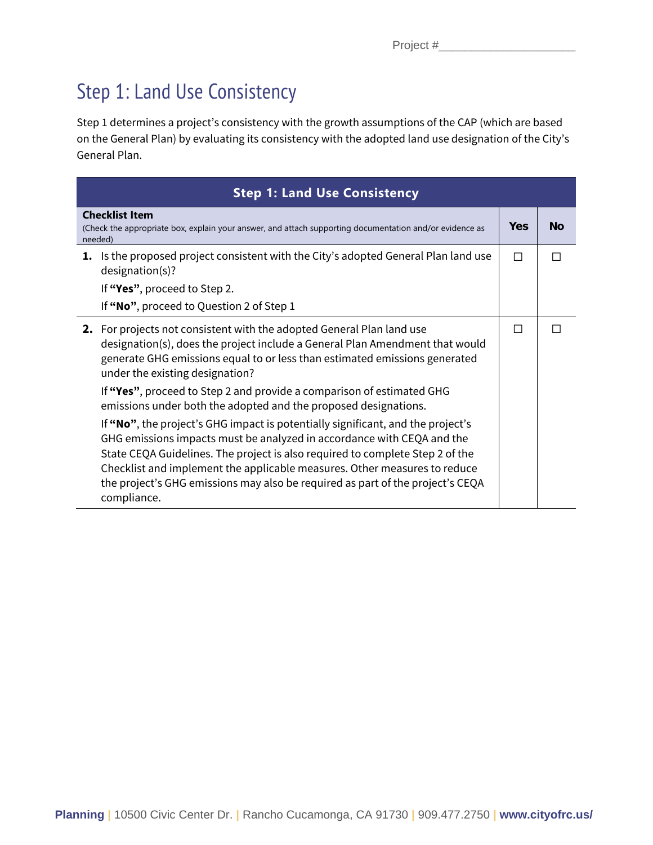## Step 1: Land Use Consistency

Step 1 determines a project's consistency with the growth assumptions of the CAP (which are based on the General Plan) by evaluating its consistency with the adopted land use designation of the City's General Plan.

|    | <b>Step 1: Land Use Consistency</b>                                                                                                                                                                                                                                                                                                                                                                                      |   |  |  |  |  |
|----|--------------------------------------------------------------------------------------------------------------------------------------------------------------------------------------------------------------------------------------------------------------------------------------------------------------------------------------------------------------------------------------------------------------------------|---|--|--|--|--|
|    | <b>Checklist Item</b><br>(Check the appropriate box, explain your answer, and attach supporting documentation and/or evidence as<br>needed)                                                                                                                                                                                                                                                                              |   |  |  |  |  |
| 1. | Is the proposed project consistent with the City's adopted General Plan land use<br>designation(s)?                                                                                                                                                                                                                                                                                                                      | П |  |  |  |  |
|    | If "Yes", proceed to Step 2.                                                                                                                                                                                                                                                                                                                                                                                             |   |  |  |  |  |
|    | If "No", proceed to Question 2 of Step 1                                                                                                                                                                                                                                                                                                                                                                                 |   |  |  |  |  |
|    | 2. For projects not consistent with the adopted General Plan land use<br>designation(s), does the project include a General Plan Amendment that would<br>generate GHG emissions equal to or less than estimated emissions generated<br>under the existing designation?                                                                                                                                                   | П |  |  |  |  |
|    | If "Yes", proceed to Step 2 and provide a comparison of estimated GHG<br>emissions under both the adopted and the proposed designations.                                                                                                                                                                                                                                                                                 |   |  |  |  |  |
|    | If "No", the project's GHG impact is potentially significant, and the project's<br>GHG emissions impacts must be analyzed in accordance with CEQA and the<br>State CEQA Guidelines. The project is also required to complete Step 2 of the<br>Checklist and implement the applicable measures. Other measures to reduce<br>the project's GHG emissions may also be required as part of the project's CEQA<br>compliance. |   |  |  |  |  |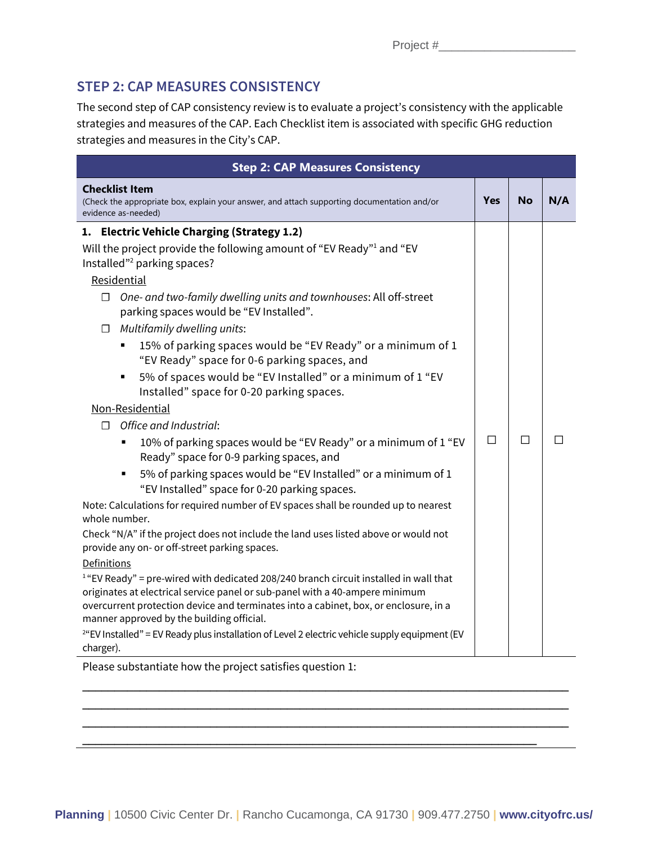### **STEP 2: CAP MEASURES CONSISTENCY**

The second step of CAP consistency review is to evaluate a project's consistency with the applicable strategies and measures of the CAP. Each Checklist item is associated with specific GHG reduction strategies and measures in the City's CAP.

| <b>Step 2: CAP Measures Consistency</b>                                                                                                                                                                           |     |  |  |  |  |  |
|-------------------------------------------------------------------------------------------------------------------------------------------------------------------------------------------------------------------|-----|--|--|--|--|--|
| <b>Checklist Item</b><br>Yes<br><b>No</b><br>(Check the appropriate box, explain your answer, and attach supporting documentation and/or<br>evidence as-needed)                                                   | N/A |  |  |  |  |  |
| 1. Electric Vehicle Charging (Strategy 1.2)                                                                                                                                                                       |     |  |  |  |  |  |
| Will the project provide the following amount of "EV Ready" <sup>1</sup> and "EV<br>Installed" <sup>2</sup> parking spaces?                                                                                       |     |  |  |  |  |  |
| Residential                                                                                                                                                                                                       |     |  |  |  |  |  |
| One- and two-family dwelling units and townhouses: All off-street<br>П<br>parking spaces would be "EV Installed".                                                                                                 |     |  |  |  |  |  |
| Multifamily dwelling units:<br>$\Box$                                                                                                                                                                             |     |  |  |  |  |  |
| 15% of parking spaces would be "EV Ready" or a minimum of 1<br>"EV Ready" space for 0-6 parking spaces, and                                                                                                       |     |  |  |  |  |  |
| 5% of spaces would be "EV Installed" or a minimum of 1 "EV<br>$\blacksquare$<br>Installed" space for 0-20 parking spaces.                                                                                         |     |  |  |  |  |  |
| Non-Residential                                                                                                                                                                                                   |     |  |  |  |  |  |
| Office and Industrial:<br>п                                                                                                                                                                                       |     |  |  |  |  |  |
| П<br>П<br>10% of parking spaces would be "EV Ready" or a minimum of 1 "EV<br>٠<br>Ready" space for 0-9 parking spaces, and                                                                                        |     |  |  |  |  |  |
| 5% of parking spaces would be "EV Installed" or a minimum of 1<br>"EV Installed" space for 0-20 parking spaces.                                                                                                   |     |  |  |  |  |  |
| Note: Calculations for required number of EV spaces shall be rounded up to nearest<br>whole number.                                                                                                               |     |  |  |  |  |  |
| Check "N/A" if the project does not include the land uses listed above or would not                                                                                                                               |     |  |  |  |  |  |
| provide any on- or off-street parking spaces.                                                                                                                                                                     |     |  |  |  |  |  |
| Definitions                                                                                                                                                                                                       |     |  |  |  |  |  |
| $1$ "EV Ready" = pre-wired with dedicated 208/240 branch circuit installed in wall that                                                                                                                           |     |  |  |  |  |  |
| originates at electrical service panel or sub-panel with a 40-ampere minimum<br>overcurrent protection device and terminates into a cabinet, box, or enclosure, in a<br>manner approved by the building official. |     |  |  |  |  |  |
| <sup>2</sup> "EV Installed" = EV Ready plus installation of Level 2 electric vehicle supply equipment (EV<br>charger).                                                                                            |     |  |  |  |  |  |

Please substantiate how the project satisfies question 1:

\_\_\_\_\_\_\_\_\_\_\_\_\_\_\_\_\_\_\_\_\_\_\_\_\_\_\_\_\_\_\_\_\_\_\_\_\_\_\_\_\_\_\_\_\_\_\_\_\_\_\_\_\_\_\_\_\_\_\_\_\_\_\_\_\_\_\_\_\_\_\_\_\_\_\_\_ \_\_\_\_\_\_\_\_\_\_\_\_\_\_\_\_\_\_\_\_\_\_\_\_\_\_\_\_\_\_\_\_\_\_\_\_\_\_\_\_\_\_\_\_\_\_\_\_\_\_\_\_\_\_\_\_\_\_\_\_\_\_\_\_\_\_\_\_\_\_\_\_\_\_\_\_ \_\_\_\_\_\_\_\_\_\_\_\_\_\_\_\_\_\_\_\_\_\_\_\_\_\_\_\_\_\_\_\_\_\_\_\_\_\_\_\_\_\_\_\_\_\_\_\_\_\_\_\_\_\_\_\_\_\_\_\_\_\_\_\_\_\_\_\_\_\_\_\_\_\_\_\_

\_\_\_\_\_\_\_\_\_\_\_\_\_\_\_\_\_\_\_\_\_\_\_\_\_\_\_\_\_\_\_\_\_\_\_\_\_\_\_\_\_\_\_\_\_\_\_\_\_\_\_\_\_\_\_\_\_\_\_\_\_\_\_\_\_\_\_\_\_\_\_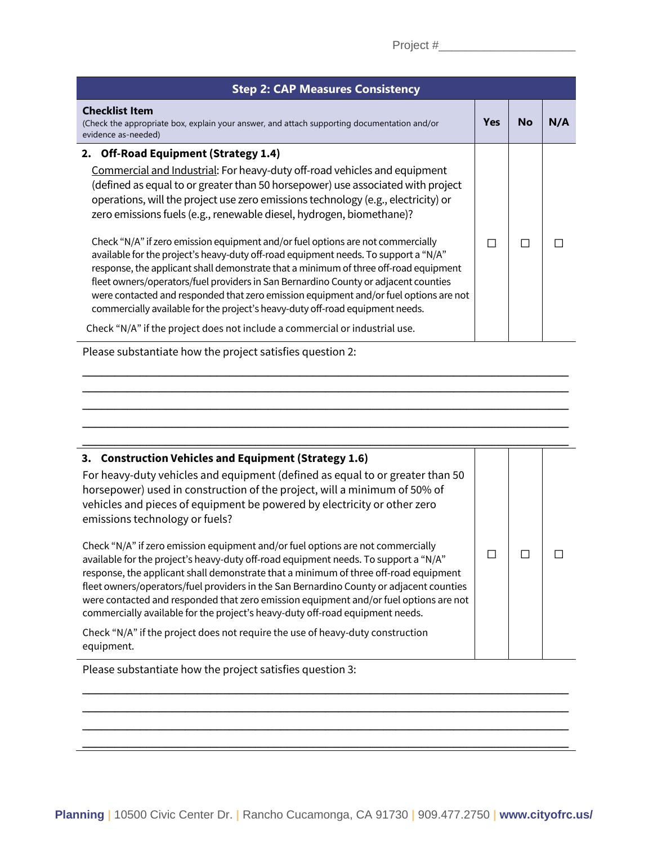| Project # |  |  |  |  |  |  |
|-----------|--|--|--|--|--|--|
|           |  |  |  |  |  |  |

| <b>Step 2: CAP Measures Consistency</b>                                                                                                                                                                                                                                                                                                                                                                                                                                                                                         |            |    |     |  |  |  |
|---------------------------------------------------------------------------------------------------------------------------------------------------------------------------------------------------------------------------------------------------------------------------------------------------------------------------------------------------------------------------------------------------------------------------------------------------------------------------------------------------------------------------------|------------|----|-----|--|--|--|
| <b>Checklist Item</b><br>(Check the appropriate box, explain your answer, and attach supporting documentation and/or<br>evidence as-needed)                                                                                                                                                                                                                                                                                                                                                                                     | <b>Yes</b> | No | N/A |  |  |  |
| 2. Off-Road Equipment (Strategy 1.4)                                                                                                                                                                                                                                                                                                                                                                                                                                                                                            |            |    |     |  |  |  |
| Commercial and Industrial: For heavy-duty off-road vehicles and equipment<br>(defined as equal to or greater than 50 horsepower) use associated with project<br>operations, will the project use zero emissions technology (e.g., electricity) or<br>zero emissions fuels (e.g., renewable diesel, hydrogen, biomethane)?                                                                                                                                                                                                       |            |    |     |  |  |  |
| Check "N/A" if zero emission equipment and/or fuel options are not commercially<br>available for the project's heavy-duty off-road equipment needs. To support a "N/A"<br>response, the applicant shall demonstrate that a minimum of three off-road equipment<br>fleet owners/operators/fuel providers in San Bernardino County or adjacent counties<br>were contacted and responded that zero emission equipment and/or fuel options are not<br>commercially available for the project's heavy-duty off-road equipment needs. | П          | П  |     |  |  |  |
| Check "N/A" if the project does not include a commercial or industrial use.                                                                                                                                                                                                                                                                                                                                                                                                                                                     |            |    |     |  |  |  |

\_\_\_\_\_\_\_\_\_\_\_\_\_\_\_\_\_\_\_\_\_\_\_\_\_\_\_\_\_\_\_\_\_\_\_\_\_\_\_\_\_\_\_\_\_\_\_\_\_\_\_\_\_\_\_\_\_\_\_\_\_\_\_\_\_\_\_\_\_\_\_\_\_\_\_\_ \_\_\_\_\_\_\_\_\_\_\_\_\_\_\_\_\_\_\_\_\_\_\_\_\_\_\_\_\_\_\_\_\_\_\_\_\_\_\_\_\_\_\_\_\_\_\_\_\_\_\_\_\_\_\_\_\_\_\_\_\_\_\_\_\_\_\_\_\_\_\_\_\_\_\_\_ \_\_\_\_\_\_\_\_\_\_\_\_\_\_\_\_\_\_\_\_\_\_\_\_\_\_\_\_\_\_\_\_\_\_\_\_\_\_\_\_\_\_\_\_\_\_\_\_\_\_\_\_\_\_\_\_\_\_\_\_\_\_\_\_\_\_\_\_\_\_\_\_\_\_\_\_ \_\_\_\_\_\_\_\_\_\_\_\_\_\_\_\_\_\_\_\_\_\_\_\_\_\_\_\_\_\_\_\_\_\_\_\_\_\_\_\_\_\_\_\_\_\_\_\_\_\_\_\_\_\_\_\_\_\_\_\_\_\_\_\_\_\_\_\_\_\_\_\_\_\_\_\_

Please substantiate how the project satisfies question 2:

| 3. Construction Vehicles and Equipment (Strategy 1.6)<br>For heavy-duty vehicles and equipment (defined as equal to or greater than 50<br>horsepower) used in construction of the project, will a minimum of 50% of<br>vehicles and pieces of equipment be powered by electricity or other zero<br>emissions technology or fuels?                                                                                                                                                                                                   |  |  |
|-------------------------------------------------------------------------------------------------------------------------------------------------------------------------------------------------------------------------------------------------------------------------------------------------------------------------------------------------------------------------------------------------------------------------------------------------------------------------------------------------------------------------------------|--|--|
| Check "N/A" if zero emission equipment and/or fuel options are not commercially<br>available for the project's heavy-duty off-road equipment needs. To support a "N/A"<br>response, the applicant shall demonstrate that a minimum of three off-road equipment<br>fleet owners/operators/fuel providers in the San Bernardino County or adjacent counties<br>were contacted and responded that zero emission equipment and/or fuel options are not<br>commercially available for the project's heavy-duty off-road equipment needs. |  |  |
| Check "N/A" if the project does not require the use of heavy-duty construction<br>equipment.                                                                                                                                                                                                                                                                                                                                                                                                                                        |  |  |
| Please substantiate how the project satisfies question 3:                                                                                                                                                                                                                                                                                                                                                                                                                                                                           |  |  |

\_\_\_\_\_\_\_\_\_\_\_\_\_\_\_\_\_\_\_\_\_\_\_\_\_\_\_\_\_\_\_\_\_\_\_\_\_\_\_\_\_\_\_\_\_\_\_\_\_\_\_\_\_\_\_\_\_\_\_\_\_\_\_\_\_\_\_\_\_\_\_\_\_\_\_\_ \_\_\_\_\_\_\_\_\_\_\_\_\_\_\_\_\_\_\_\_\_\_\_\_\_\_\_\_\_\_\_\_\_\_\_\_\_\_\_\_\_\_\_\_\_\_\_\_\_\_\_\_\_\_\_\_\_\_\_\_\_\_\_\_\_\_\_\_\_\_\_\_\_\_\_\_ \_\_\_\_\_\_\_\_\_\_\_\_\_\_\_\_\_\_\_\_\_\_\_\_\_\_\_\_\_\_\_\_\_\_\_\_\_\_\_\_\_\_\_\_\_\_\_\_\_\_\_\_\_\_\_\_\_\_\_\_\_\_\_\_\_\_\_\_\_\_\_\_\_\_\_\_

\_\_\_\_\_\_\_\_\_\_\_\_\_\_\_\_\_\_\_\_\_\_\_\_\_\_\_\_\_\_\_\_\_\_\_\_\_\_\_\_\_\_\_\_\_\_\_\_\_\_\_\_\_\_\_\_\_\_\_\_\_\_\_\_\_\_\_\_\_\_\_\_\_\_\_\_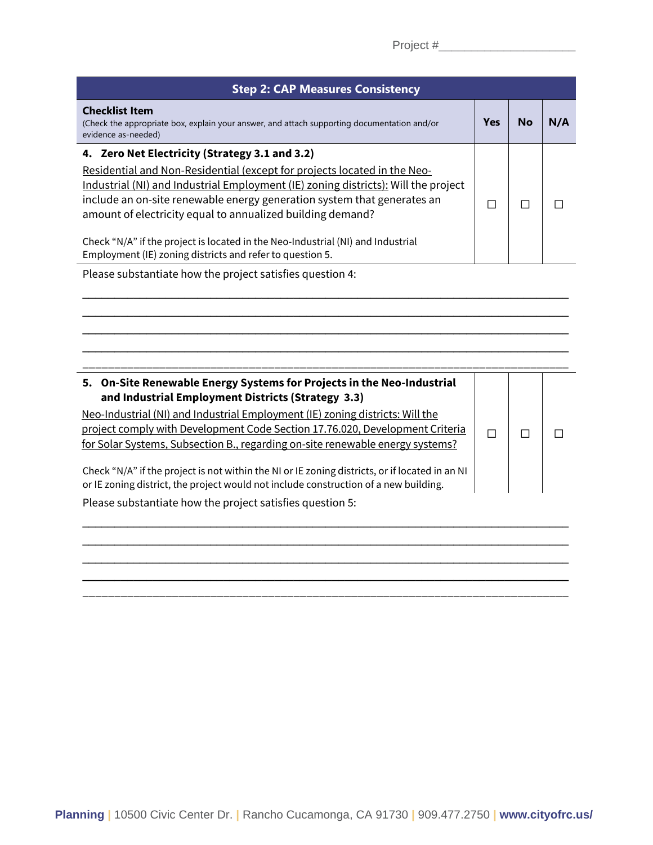| <b>Step 2: CAP Measures Consistency</b>                                                                                                                                                                                     |            |    |     |  |  |  |
|-----------------------------------------------------------------------------------------------------------------------------------------------------------------------------------------------------------------------------|------------|----|-----|--|--|--|
| <b>Checklist Item</b><br>(Check the appropriate box, explain your answer, and attach supporting documentation and/or<br>evidence as-needed)                                                                                 | <b>Yes</b> | No | N/A |  |  |  |
| 4. Zero Net Electricity (Strategy 3.1 and 3.2)<br>Residential and Non-Residential (except for projects located in the Neo-                                                                                                  |            |    |     |  |  |  |
| Industrial (NI) and Industrial Employment (IE) zoning districts): Will the project<br>include an on-site renewable energy generation system that generates an<br>amount of electricity equal to annualized building demand? |            |    |     |  |  |  |
| Check "N/A" if the project is located in the Neo-Industrial (NI) and Industrial<br>Employment (IE) zoning districts and refer to question 5.                                                                                |            |    |     |  |  |  |

\_\_\_\_\_\_\_\_\_\_\_\_\_\_\_\_\_\_\_\_\_\_\_\_\_\_\_\_\_\_\_\_\_\_\_\_\_\_\_\_\_\_\_\_\_\_\_\_\_\_\_\_\_\_\_\_\_\_\_\_\_\_\_\_\_\_\_\_\_\_\_\_\_\_\_\_ \_\_\_\_\_\_\_\_\_\_\_\_\_\_\_\_\_\_\_\_\_\_\_\_\_\_\_\_\_\_\_\_\_\_\_\_\_\_\_\_\_\_\_\_\_\_\_\_\_\_\_\_\_\_\_\_\_\_\_\_\_\_\_\_\_\_\_\_\_\_\_\_\_\_\_\_ \_\_\_\_\_\_\_\_\_\_\_\_\_\_\_\_\_\_\_\_\_\_\_\_\_\_\_\_\_\_\_\_\_\_\_\_\_\_\_\_\_\_\_\_\_\_\_\_\_\_\_\_\_\_\_\_\_\_\_\_\_\_\_\_\_\_\_\_\_\_\_\_\_\_\_\_ \_\_\_\_\_\_\_\_\_\_\_\_\_\_\_\_\_\_\_\_\_\_\_\_\_\_\_\_\_\_\_\_\_\_\_\_\_\_\_\_\_\_\_\_\_\_\_\_\_\_\_\_\_\_\_\_\_\_\_\_\_\_\_\_\_\_\_\_\_\_\_\_\_\_\_\_ \_\_\_\_\_\_\_\_\_\_\_\_\_\_\_\_\_\_\_\_\_\_\_\_\_\_\_\_\_\_\_\_\_\_\_\_\_\_\_\_\_\_\_\_\_\_\_\_\_\_\_\_\_\_\_\_\_\_\_\_\_\_\_\_\_\_\_\_\_\_\_\_\_\_\_\_

Please substantiate how the project satisfies question 4:

#### **5. On-Site Renewable Energy Systems for Projects in the Neo-Industrial and Industrial Employment Districts (Strategy 3.3)** Neo-Industrial (NI) and Industrial Employment (IE) zoning districts: Will the project comply with Development Code Section 17.76.020, Development Criteria for Solar Systems, Subsection B., regarding on-site renewable energy systems? Check "N/A" if the project is not within the NI or IE zoning districts, or if located in an NI or IE zoning district, the project would not include construction of a new building. ☐ ☐ ☐

\_\_\_\_\_\_\_\_\_\_\_\_\_\_\_\_\_\_\_\_\_\_\_\_\_\_\_\_\_\_\_\_\_\_\_\_\_\_\_\_\_\_\_\_\_\_\_\_\_\_\_\_\_\_\_\_\_\_\_\_\_\_\_\_\_\_\_\_\_\_\_\_\_\_\_\_ \_\_\_\_\_\_\_\_\_\_\_\_\_\_\_\_\_\_\_\_\_\_\_\_\_\_\_\_\_\_\_\_\_\_\_\_\_\_\_\_\_\_\_\_\_\_\_\_\_\_\_\_\_\_\_\_\_\_\_\_\_\_\_\_\_\_\_\_\_\_\_\_\_\_\_\_ \_\_\_\_\_\_\_\_\_\_\_\_\_\_\_\_\_\_\_\_\_\_\_\_\_\_\_\_\_\_\_\_\_\_\_\_\_\_\_\_\_\_\_\_\_\_\_\_\_\_\_\_\_\_\_\_\_\_\_\_\_\_\_\_\_\_\_\_\_\_\_\_\_\_\_\_ \_\_\_\_\_\_\_\_\_\_\_\_\_\_\_\_\_\_\_\_\_\_\_\_\_\_\_\_\_\_\_\_\_\_\_\_\_\_\_\_\_\_\_\_\_\_\_\_\_\_\_\_\_\_\_\_\_\_\_\_\_\_\_\_\_\_\_\_\_\_\_\_\_\_\_\_ \_\_\_\_\_\_\_\_\_\_\_\_\_\_\_\_\_\_\_\_\_\_\_\_\_\_\_\_\_\_\_\_\_\_\_\_\_\_\_\_\_\_\_\_\_\_\_\_\_\_\_\_\_\_\_\_\_\_\_\_\_\_\_\_\_\_\_\_\_\_\_\_\_\_\_\_

Please substantiate how the project satisfies question 5: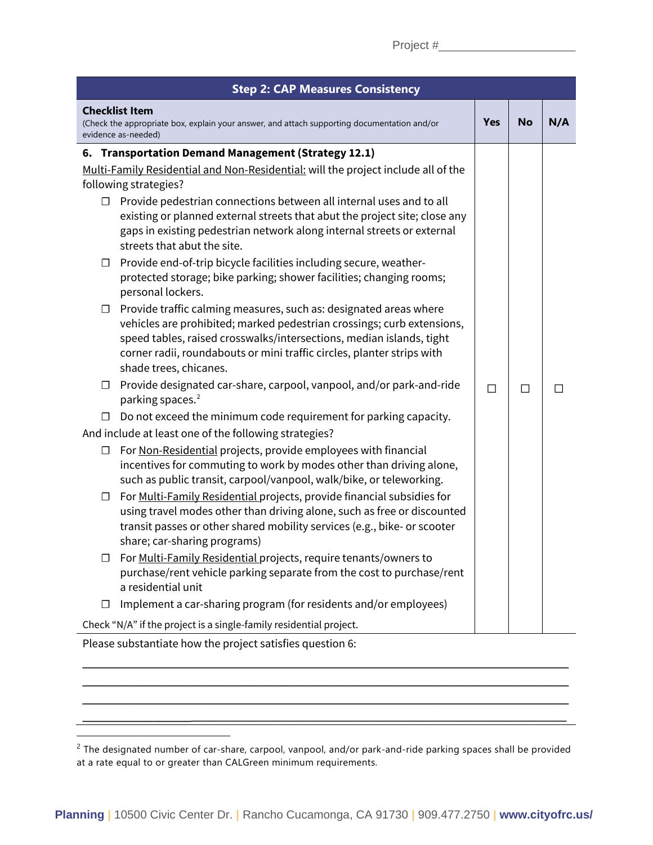| <b>Step 2: CAP Measures Consistency</b>                                                                                                                                                                                                                                                                                           |     |           |     |  |  |
|-----------------------------------------------------------------------------------------------------------------------------------------------------------------------------------------------------------------------------------------------------------------------------------------------------------------------------------|-----|-----------|-----|--|--|
| <b>Checklist Item</b><br>(Check the appropriate box, explain your answer, and attach supporting documentation and/or<br>evidence as-needed)                                                                                                                                                                                       | Yes | <b>No</b> | N/A |  |  |
| 6. Transportation Demand Management (Strategy 12.1)                                                                                                                                                                                                                                                                               |     |           |     |  |  |
| Multi-Family Residential and Non-Residential: will the project include all of the                                                                                                                                                                                                                                                 |     |           |     |  |  |
| following strategies?                                                                                                                                                                                                                                                                                                             |     |           |     |  |  |
| $\Box$ Provide pedestrian connections between all internal uses and to all<br>existing or planned external streets that abut the project site; close any<br>gaps in existing pedestrian network along internal streets or external<br>streets that abut the site.                                                                 |     |           |     |  |  |
| Provide end-of-trip bicycle facilities including secure, weather-<br>⊔<br>protected storage; bike parking; shower facilities; changing rooms;<br>personal lockers.                                                                                                                                                                |     |           |     |  |  |
| Provide traffic calming measures, such as: designated areas where<br>$\Box$<br>vehicles are prohibited; marked pedestrian crossings; curb extensions,<br>speed tables, raised crosswalks/intersections, median islands, tight<br>corner radii, roundabouts or mini traffic circles, planter strips with<br>shade trees, chicanes. |     |           |     |  |  |
| Provide designated car-share, carpool, vanpool, and/or park-and-ride<br>$\Box$<br>parking spaces. <sup>2</sup>                                                                                                                                                                                                                    | П   | $\Box$    | ΓТ  |  |  |
| Do not exceed the minimum code requirement for parking capacity.<br>$\Box$                                                                                                                                                                                                                                                        |     |           |     |  |  |
| And include at least one of the following strategies?                                                                                                                                                                                                                                                                             |     |           |     |  |  |
| For Non-Residential projects, provide employees with financial<br>$\Box$<br>incentives for commuting to work by modes other than driving alone,<br>such as public transit, carpool/vanpool, walk/bike, or teleworking.                                                                                                            |     |           |     |  |  |
| For Multi-Family Residential projects, provide financial subsidies for<br>□<br>using travel modes other than driving alone, such as free or discounted<br>transit passes or other shared mobility services (e.g., bike- or scooter<br>share; car-sharing programs)                                                                |     |           |     |  |  |
| For Multi-Family Residential projects, require tenants/owners to<br>$\Box$<br>purchase/rent vehicle parking separate from the cost to purchase/rent<br>a residential unit                                                                                                                                                         |     |           |     |  |  |
| Implement a car-sharing program (for residents and/or employees)<br>□                                                                                                                                                                                                                                                             |     |           |     |  |  |
| Check "N/A" if the project is a single-family residential project.                                                                                                                                                                                                                                                                |     |           |     |  |  |

Please substantiate how the project satisfies question 6:

\_\_\_\_\_\_\_\_\_\_\_\_\_\_\_\_\_\_\_\_\_\_\_\_\_\_\_\_\_\_\_\_\_\_\_\_\_\_\_\_\_\_\_\_\_\_\_\_\_\_\_\_\_\_\_\_\_\_\_\_\_\_\_\_\_\_\_\_\_\_\_\_\_\_\_\_ \_\_\_\_\_\_\_\_\_\_\_\_\_\_\_\_\_\_\_\_\_\_\_\_\_\_\_\_\_\_\_\_\_\_\_\_\_\_\_\_\_\_\_\_\_\_\_\_\_\_\_\_\_\_\_\_\_\_\_\_\_\_\_\_\_\_\_\_\_\_\_\_\_\_\_\_ \_\_\_\_\_\_\_\_\_\_\_\_\_\_\_\_\_\_\_\_\_\_\_\_\_\_\_\_\_\_\_\_\_\_\_\_\_\_\_\_\_\_\_\_\_\_\_\_\_\_\_\_\_\_\_\_\_\_\_\_\_\_\_\_\_\_\_\_\_\_\_\_\_\_\_\_ \_\_\_\_\_\_\_\_\_\_\_\_\_\_\_\_\_\_\_\_\_\_\_\_\_\_\_\_\_\_\_\_\_\_\_\_\_\_\_\_\_\_\_\_\_\_\_\_\_\_\_\_\_\_\_\_\_\_\_\_\_\_\_\_\_\_\_\_\_\_\_\_\_\_\_\_\_\_\_\_\_

<span id="page-7-0"></span><sup>&</sup>lt;sup>2</sup> The designated number of car-share, carpool, vanpool, and/or park-and-ride parking spaces shall be provided at a rate equal to or greater than CALGreen minimum requirements.